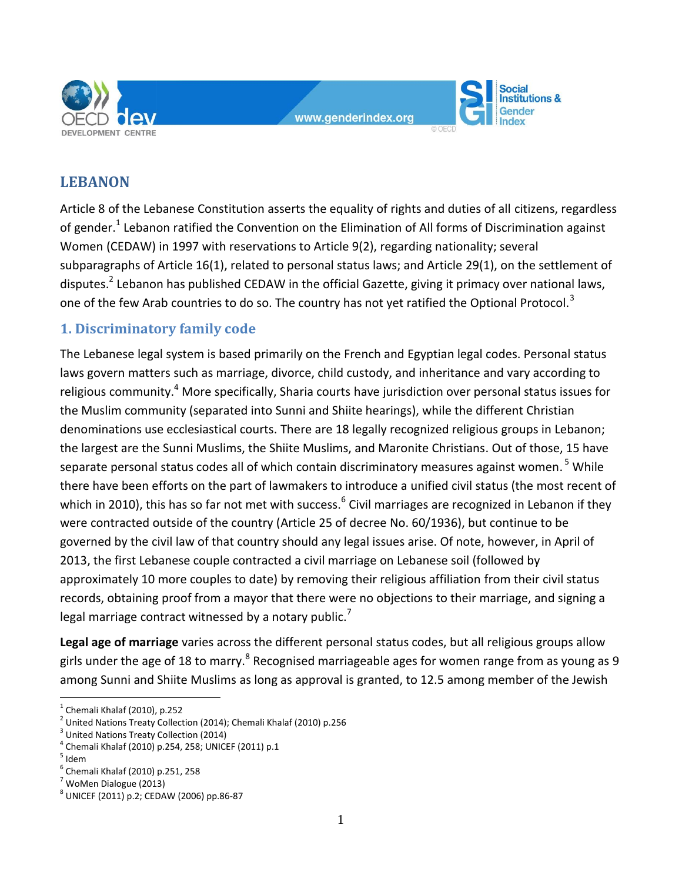

www.genderindex.org

**Social Institutions &** iender

# **LEBANON**

Article 8 of the Lebanese Constitution asserts the equality of rights and duties of all citizens, regardless of gender.<sup>1</sup> Lebanon ratified the Convention on the Elimination of All forms of Discrimination against Women (CEDAW) in 1997 with reservations to Article 9(2), regarding nationality; several subparagraphs of Article 16(1), related to personal status laws; and Article 29(1), on the settlement of disputes.<sup>2</sup> Lebanon has published CEDAW in the official Gazette, giving it primacy over national laws, one of the few Arab countries to do so. The country has not yet ratified the Optional Protocol.<sup>3</sup>

## **1. Discriminatory family code**

The Lebanese legal system is based primarily on the French and Egyptian legal codes. Personal status laws govern matters such as marriage, divorce, child custody, and inheritance and vary according to religious community.<sup>4</sup> More specifically, Sharia courts have jurisdiction over personal status issues for the Muslim community (separated into Sunni and Shiite hearings), while the different Christian denominations use ecclesiastical courts. There are 18 legally recognized religious groups in Lebanon; the largest are the Sunni Muslims, the Shiite Muslims, and Maronite Christians. Out of those, 15 have separate personal status codes all of which contain discriminatory measures against women. <sup>5</sup> While there have been efforts on the part of lawmakers to introduce a unified civil status (the most recent of which in 2010), this has so far not met with success.<sup>6</sup> Civil marriages are recognized in Lebanon if they were contracted outside of the country (Article 25 of decree No. 60/1936), but continue to be governed by the civil law of that country should any legal issues arise. Of note, however, in April of 2013, the first Lebanese couple contracted a civil marriage on Lebanese soil (followed by approximately 10 more couples to date) by removing their religious affiliation from their civil status records, obtaining proof from a mayor that there were no objections to their marriage, and signing a legal marriage contract witnessed by a notary public.<sup>7</sup>

**Legal age of marriage** varies across the different personal status codes, but all religious groups allow girls under the age of 18 to marry.<sup>8</sup> Recognised marriageable ages for women range from as young as 9 among Sunni and Shiite Muslims as long as approval is granted, to 12.5 among member of the Jewish

 $<sup>1</sup>$  Chemali Khalaf (2010), p.252</sup>

 $^2$  United Nations Treaty Collection (2014); Chemali Khalaf (2010) p.256

<sup>&</sup>lt;sup>3</sup> United Nations Treaty Collection (2014)

<sup>4</sup> Chemali Khalaf (2010) p.254, 258; UNICEF (2011) p.1

 $<sup>5</sup>$  Idem</sup>

<sup>6</sup> Chemali Khalaf (2010) p.251, 258

 $<sup>7</sup>$  WoMen Dialogue (2013)</sup>

<sup>8</sup> UNICEF (2011) p.2; CEDAW (2006) pp.86-87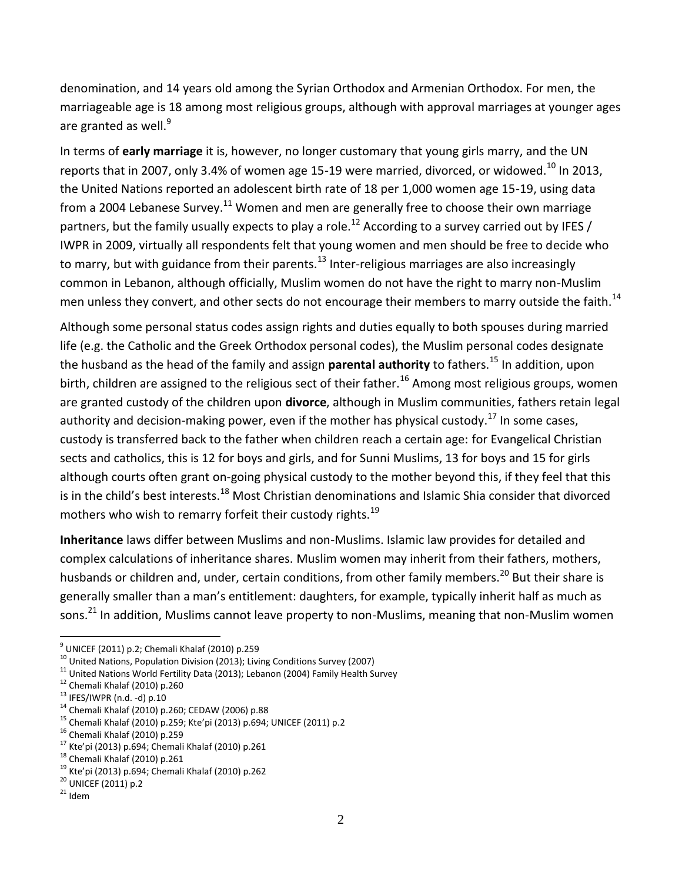denomination, and 14 years old among the Syrian Orthodox and Armenian Orthodox. For men, the marriageable age is 18 among most religious groups, although with approval marriages at younger ages are granted as well. $9$ 

In terms of **early marriage** it is, however, no longer customary that young girls marry, and the UN reports that in 2007, only 3.4% of women age 15-19 were married, divorced, or widowed.<sup>10</sup> In 2013. the United Nations reported an adolescent birth rate of 18 per 1,000 women age 15-19, using data from a 2004 Lebanese Survey.<sup>11</sup> Women and men are generally free to choose their own marriage partners, but the family usually expects to play a role.<sup>12</sup> According to a survey carried out by IFES / IWPR in 2009, virtually all respondents felt that young women and men should be free to decide who to marry, but with guidance from their parents.<sup>13</sup> Inter-religious marriages are also increasingly common in Lebanon, although officially, Muslim women do not have the right to marry non-Muslim men unless they convert, and other sects do not encourage their members to marry outside the faith.<sup>14</sup>

Although some personal status codes assign rights and duties equally to both spouses during married life (e.g. the Catholic and the Greek Orthodox personal codes), the Muslim personal codes designate the husband as the head of the family and assign **parental authority** to fathers.<sup>15</sup> In addition, upon birth, children are assigned to the religious sect of their father.<sup>16</sup> Among most religious groups, women are granted custody of the children upon **divorce**, although in Muslim communities, fathers retain legal authority and decision-making power, even if the mother has physical custody.<sup>17</sup> In some cases, custody is transferred back to the father when children reach a certain age: for Evangelical Christian sects and catholics, this is 12 for boys and girls, and for Sunni Muslims, 13 for boys and 15 for girls although courts often grant on-going physical custody to the mother beyond this, if they feel that this is in the child's best interests.<sup>18</sup> Most Christian denominations and Islamic Shia consider that divorced mothers who wish to remarry forfeit their custody rights.<sup>19</sup>

**Inheritance** laws differ between Muslims and non-Muslims. Islamic law provides for detailed and complex calculations of inheritance shares. Muslim women may inherit from their fathers, mothers, husbands or children and, under, certain conditions, from other family members.<sup>20</sup> But their share is generally smaller than a man's entitlement: daughters, for example, typically inherit half as much as sons.<sup>21</sup> In addition, Muslims cannot leave property to non-Muslims, meaning that non-Muslim women

<sup>&</sup>lt;sup>9</sup> UNICEF (2011) p.2; Chemali Khalaf (2010) p.259

<sup>&</sup>lt;sup>10</sup> United Nations, Population Division (2013); Living Conditions Survey (2007)

 $11$  United Nations World Fertility Data (2013); Lebanon (2004) Family Health Survey

<sup>12</sup> Chemali Khalaf (2010) p.260

<sup>13</sup> IFES/IWPR (n.d. -d) p.10

<sup>14</sup> Chemali Khalaf (2010) p.260; CEDAW (2006) p.88

<sup>15</sup> Chemali Khalaf (2010) p.259; Kte'pi (2013) p.694; UNICEF (2011) p.2

<sup>16</sup> Chemali Khalaf (2010) p.259

<sup>17</sup> Kte'pi (2013) p.694; Chemali Khalaf (2010) p.261

<sup>18</sup> Chemali Khalaf (2010) p.261

<sup>19</sup> Kte'pi (2013) p.694; Chemali Khalaf (2010) p.262

<sup>20</sup> UNICEF (2011) p.2

 $21$  Idem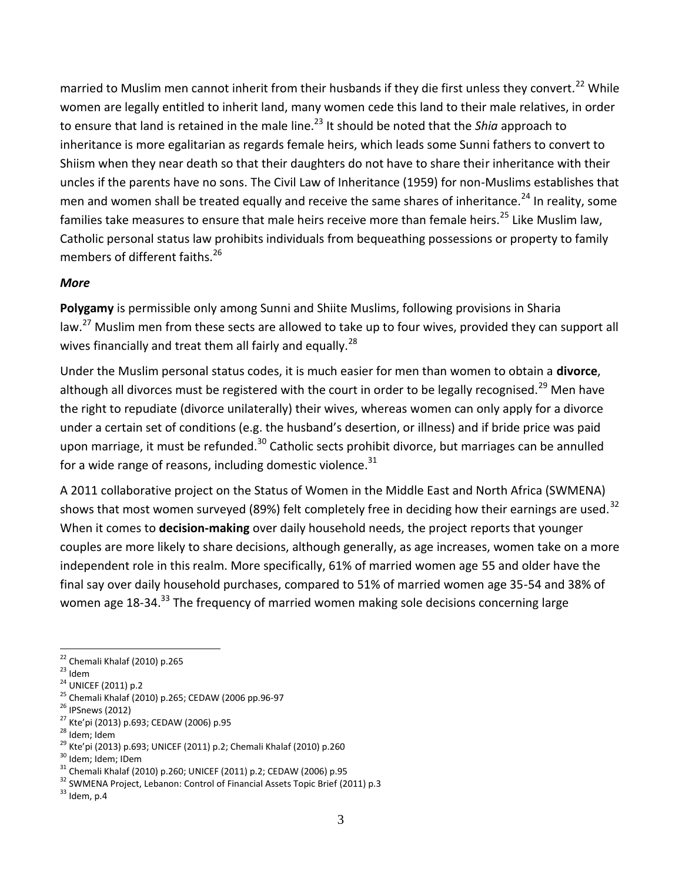married to Muslim men cannot inherit from their husbands if they die first unless they convert.<sup>22</sup> While women are legally entitled to inherit land, many women cede this land to their male relatives, in order to ensure that land is retained in the male line.<sup>23</sup> It should be noted that the *Shia* approach to inheritance is more egalitarian as regards female heirs, which leads some Sunni fathers to convert to Shiism when they near death so that their daughters do not have to share their inheritance with their uncles if the parents have no sons. The Civil Law of Inheritance (1959) for non-Muslims establishes that men and women shall be treated equally and receive the same shares of inheritance.<sup>24</sup> In reality, some families take measures to ensure that male heirs receive more than female heirs.<sup>25</sup> Like Muslim law, Catholic personal status law prohibits individuals from bequeathing possessions or property to family members of different faiths.<sup>26</sup>

#### *More*

**Polygamy** is permissible only among Sunni and Shiite Muslims, following provisions in Sharia law.<sup>27</sup> Muslim men from these sects are allowed to take up to four wives, provided they can support all wives financially and treat them all fairly and equally.<sup>28</sup>

Under the Muslim personal status codes, it is much easier for men than women to obtain a **divorce**, although all divorces must be registered with the court in order to be legally recognised.<sup>29</sup> Men have the right to repudiate (divorce unilaterally) their wives, whereas women can only apply for a divorce under a certain set of conditions (e.g. the husband's desertion, or illness) and if bride price was paid upon marriage, it must be refunded.<sup>30</sup> Catholic sects prohibit divorce, but marriages can be annulled for a wide range of reasons, including domestic violence. $31$ 

A 2011 collaborative project on the Status of Women in the Middle East and North Africa (SWMENA) shows that most women surveyed (89%) felt completely free in deciding how their earnings are used.<sup>32</sup> When it comes to **decision-making** over daily household needs, the project reports that younger couples are more likely to share decisions, although generally, as age increases, women take on a more independent role in this realm. More specifically, 61% of married women age 55 and older have the final say over daily household purchases, compared to 51% of married women age 35-54 and 38% of women age 18-34.<sup>33</sup> The frequency of married women making sole decisions concerning large

- <sup>25</sup> Chemali Khalaf (2010) p.265; CEDAW (2006 pp.96-97
- <sup>26</sup> IPSnews (2012)
- <sup>27</sup> Kte'pi (2013) p.693; CEDAW (2006) p.95
- <sup>28</sup> Idem; Idem

<sup>30</sup> Idem; Idem; IDem

 $\overline{a}$ <sup>22</sup> Chemali Khalaf (2010) p.265

 $23$  Idem

<sup>&</sup>lt;sup>24</sup> UNICEF (2011) p.2

<sup>29</sup> Kte'pi (2013) p.693; UNICEF (2011) p.2; Chemali Khalaf (2010) p.260

 $31$  Chemali Khalaf (2010) p.260; UNICEF (2011) p.2; CEDAW (2006) p.95

<sup>&</sup>lt;sup>32</sup> SWMENA Project, Lebanon: Control of Financial Assets Topic Brief (2011) p.3

 $33$  Idem, p.4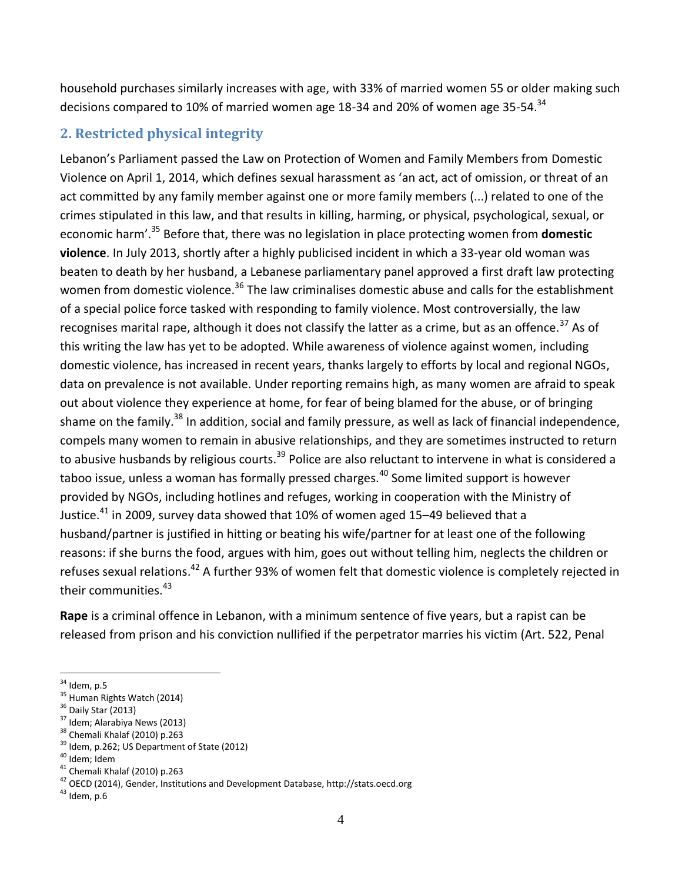household purchases similarly increases with age, with 33% of married women 55 or older making such decisions compared to 10% of married women age 18-34 and 20% of women age 35-54.<sup>34</sup>

## **2. Restricted physical integrity**

Lebanon's Parliament passed the Law on Protection of Women and Family Members from Domestic Violence on April 1, 2014, which defines sexual harassment as 'an act, act of omission, or threat of an act committed by any family member against one or more family members (...) related to one of the crimes stipulated in this law, and that results in killing, harming, or physical, psychological, sexual, or economic harm'.<sup>35</sup> Before that, there was no legislation in place protecting women from **domestic violence**. In July 2013, shortly after a highly publicised incident in which a 33-year old woman was beaten to death by her husband, a Lebanese parliamentary panel approved a first draft law protecting women from domestic violence.<sup>36</sup> The law criminalises domestic abuse and calls for the establishment of a special police force tasked with responding to family violence. Most controversially, the law recognises marital rape, although it does not classify the latter as a crime, but as an offence.<sup>37</sup> As of this writing the law has yet to be adopted. While awareness of violence against women, including domestic violence, has increased in recent years, thanks largely to efforts by local and regional NGOs, data on prevalence is not available. Under reporting remains high, as many women are afraid to speak out about violence they experience at home, for fear of being blamed for the abuse, or of bringing shame on the family.<sup>38</sup> In addition, social and family pressure, as well as lack of financial independence, compels many women to remain in abusive relationships, and they are sometimes instructed to return to abusive husbands by religious courts.<sup>39</sup> Police are also reluctant to intervene in what is considered a taboo issue, unless a woman has formally pressed charges.<sup>40</sup> Some limited support is however provided by NGOs, including hotlines and refuges, working in cooperation with the Ministry of Justice. $^{41}$  in 2009, survey data showed that 10% of women aged 15–49 believed that a husband/partner is justified in hitting or beating his wife/partner for at least one of the following reasons: if she burns the food, argues with him, goes out without telling him, neglects the children or refuses sexual relations.<sup>42</sup> A further 93% of women felt that domestic violence is completely rejected in their communities.<sup>43</sup>

**Rape** is a criminal offence in Lebanon, with a minimum sentence of five years, but a rapist can be released from prison and his conviction nullified if the perpetrator marries his victim (Art. 522, Penal

- $36$  Daily Star (2013)
- $37$  Idem; Alarabiya News (2013)
- 38 Chemali Khalaf (2010) p.263
- <sup>39</sup> Idem, p.262; US Department of State (2012)
- <sup>40</sup> Idem; Idem

 $34$  Idem, p.5

<sup>&</sup>lt;sup>35</sup> Human Rights Watch (2014)

<sup>41</sup> Chemali Khalaf (2010) p.263

<sup>42</sup> OECD (2014), Gender, Institutions and Development Database, http://stats.oecd.org

 $43$  Idem, p.6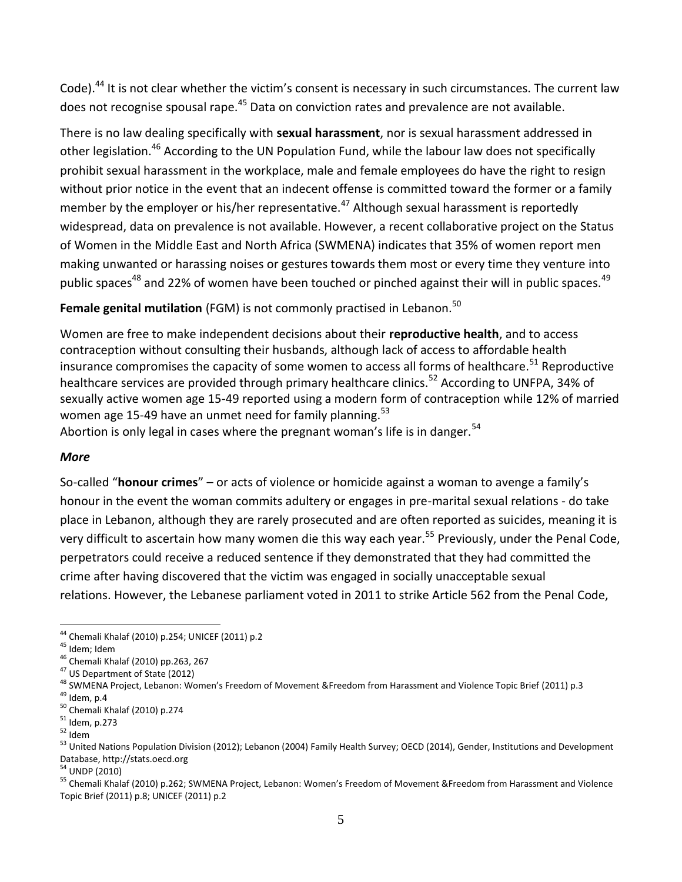Code).<sup>44</sup> It is not clear whether the victim's consent is necessary in such circumstances. The current law does not recognise spousal rape.<sup>45</sup> Data on conviction rates and prevalence are not available.

There is no law dealing specifically with **sexual harassment**, nor is sexual harassment addressed in other legislation.<sup>46</sup> According to the UN Population Fund, while the labour law does not specifically prohibit sexual harassment in the workplace, male and female employees do have the right to resign without prior notice in the event that an indecent offense is committed toward the former or a family member by the employer or his/her representative.<sup>47</sup> Although sexual harassment is reportedly widespread, data on prevalence is not available. However, a recent collaborative project on the Status of Women in the Middle East and North Africa (SWMENA) indicates that 35% of women report men making unwanted or harassing noises or gestures towards them most or every time they venture into public spaces<sup>48</sup> and 22% of women have been touched or pinched against their will in public spaces.<sup>49</sup>

## Female genital mutilation (FGM) is not commonly practised in Lebanon.<sup>50</sup>

Women are free to make independent decisions about their **reproductive health**, and to access contraception without consulting their husbands, although lack of access to affordable health insurance compromises the capacity of some women to access all forms of healthcare.<sup>51</sup> Reproductive healthcare services are provided through primary healthcare clinics.<sup>52</sup> According to UNFPA, 34% of sexually active women age 15-49 reported using a modern form of contraception while 12% of married women age 15-49 have an unmet need for family planning.<sup>53</sup>

Abortion is only legal in cases where the pregnant woman's life is in danger.<sup>54</sup>

#### *More*

So-called "**honour crimes**" – or acts of violence or homicide against a woman to avenge a family's honour in the event the woman commits adultery or engages in pre-marital sexual relations - do take place in Lebanon, although they are rarely prosecuted and are often reported as suicides, meaning it is very difficult to ascertain how many women die this way each year.<sup>55</sup> Previously, under the Penal Code, perpetrators could receive a reduced sentence if they demonstrated that they had committed the crime after having discovered that the victim was engaged in socially unacceptable sexual relations. However, the Lebanese parliament voted in 2011 to strike Article 562 from the Penal Code,

<sup>54</sup> UNDP (2010)

 $\overline{a}$ <sup>44</sup> Chemali Khalaf (2010) p.254; UNICEF (2011) p.2

<sup>45</sup> Idem; Idem

<sup>46</sup> Chemali Khalaf (2010) pp.263, 267

<sup>47</sup> US Department of State (2012)

<sup>&</sup>lt;sup>48</sup> SWMENA Project, Lebanon: Women's Freedom of Movement &Freedom from Harassment and Violence Topic Brief (2011) p.3  $49$  Idem, p.4

<sup>50</sup> Chemali Khalaf (2010) p.274

<sup>51</sup> Idem, p.273

 $52$  Idem

<sup>&</sup>lt;sup>53</sup> United Nations Population Division (2012); Lebanon (2004) Family Health Survey; OECD (2014), Gender, Institutions and Development Database, http://stats.oecd.org

<sup>55</sup> Chemali Khalaf (2010) p.262; SWMENA Project, Lebanon: Women's Freedom of Movement &Freedom from Harassment and Violence Topic Brief (2011) p.8; UNICEF (2011) p.2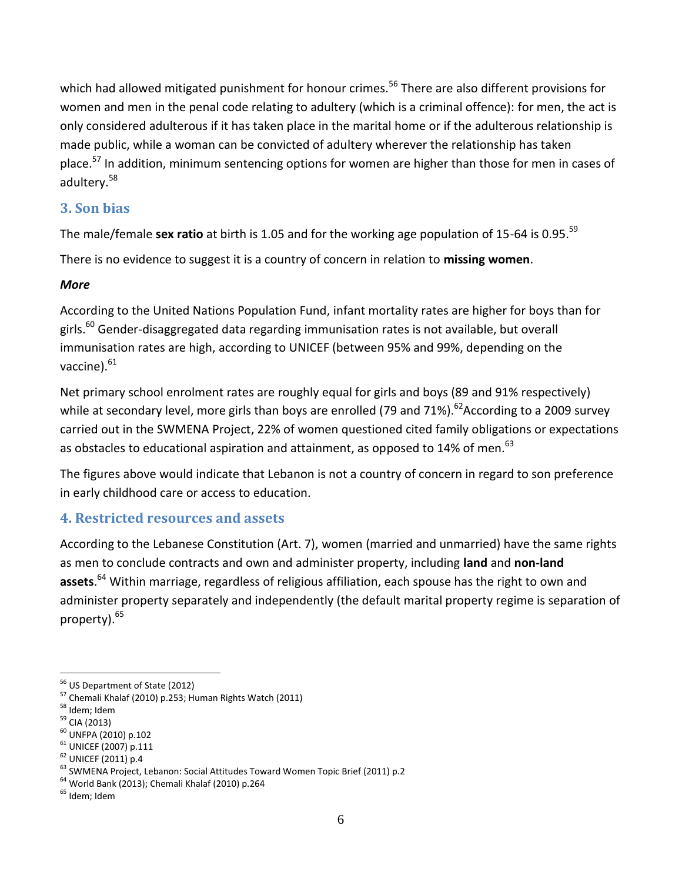which had allowed mitigated punishment for honour crimes.<sup>56</sup> There are also different provisions for women and men in the penal code relating to adultery (which is a criminal offence): for men, the act is only considered adulterous if it has taken place in the marital home or if the adulterous relationship is made public, while a woman can be convicted of adultery wherever the relationship has taken place.<sup>57</sup> In addition, minimum sentencing options for women are higher than those for men in cases of adultery.<sup>58</sup>

### **3. Son bias**

The male/female **sex ratio** at birth is 1.05 and for the working age population of 15-64 is 0.95. 59

There is no evidence to suggest it is a country of concern in relation to **missing women**.

### *More*

According to the United Nations Population Fund, infant mortality rates are higher for boys than for girls. $^{60}$  Gender-disaggregated data regarding immunisation rates is not available, but overall immunisation rates are high, according to UNICEF (between 95% and 99%, depending on the vaccine).<sup>61</sup>

Net primary school enrolment rates are roughly equal for girls and boys (89 and 91% respectively) while at secondary level, more girls than boys are enrolled (79 and 71%).<sup>62</sup>According to a 2009 survey carried out in the SWMENA Project, 22% of women questioned cited family obligations or expectations as obstacles to educational aspiration and attainment, as opposed to 14% of men.<sup>63</sup>

The figures above would indicate that Lebanon is not a country of concern in regard to son preference in early childhood care or access to education.

## **4. Restricted resources and assets**

According to the Lebanese Constitution (Art. 7), women (married and unmarried) have the same rights as men to conclude contracts and own and administer property, including **land** and **non-land assets**. <sup>64</sup> Within marriage, regardless of religious affiliation, each spouse has the right to own and administer property separately and independently (the default marital property regime is separation of property). 65

- <sup>61</sup> UNICEF (2007) p.111
- <sup>62</sup> UNICEF (2011) p.4

<sup>56</sup> US Department of State (2012)

<sup>57</sup> Chemali Khalaf (2010) p.253; Human Rights Watch (2011)

<sup>58</sup> Idem; Idem

<sup>59</sup> CIA (2013)

<sup>60</sup> UNFPA (2010) p.102

<sup>63</sup> SWMENA Project, Lebanon: Social Attitudes Toward Women Topic Brief (2011) p.2

<sup>64</sup> World Bank (2013); Chemali Khalaf (2010) p.264

<sup>&</sup>lt;sup>65</sup> Idem; Idem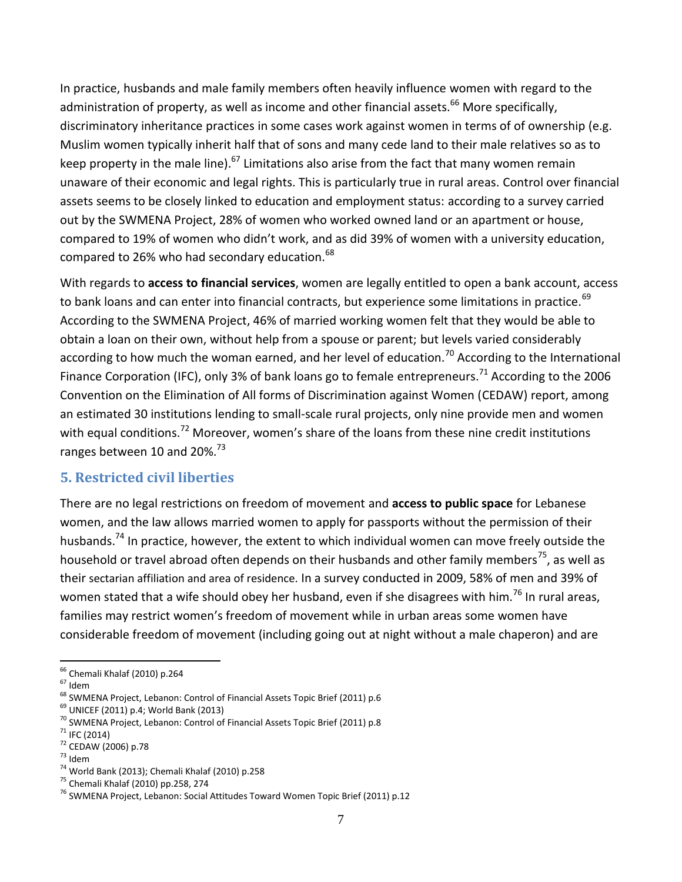In practice, husbands and male family members often heavily influence women with regard to the administration of property, as well as income and other financial assets.<sup>66</sup> More specifically, discriminatory inheritance practices in some cases work against women in terms of of ownership (e.g. Muslim women typically inherit half that of sons and many cede land to their male relatives so as to keep property in the male line).<sup>67</sup> Limitations also arise from the fact that many women remain unaware of their economic and legal rights. This is particularly true in rural areas. Control over financial assets seems to be closely linked to education and employment status: according to a survey carried out by the SWMENA Project, 28% of women who worked owned land or an apartment or house, compared to 19% of women who didn't work, and as did 39% of women with a university education, compared to 26% who had secondary education.<sup>68</sup>

With regards to **access to financial services**, women are legally entitled to open a bank account, access to bank loans and can enter into financial contracts, but experience some limitations in practice.<sup>69</sup> According to the SWMENA Project, 46% of married working women felt that they would be able to obtain a loan on their own, without help from a spouse or parent; but levels varied considerably according to how much the woman earned, and her level of education.<sup>70</sup> According to the International Finance Corporation (IFC), only 3% of bank loans go to female entrepreneurs.<sup>71</sup> According to the 2006 Convention on the Elimination of All forms of Discrimination against Women (CEDAW) report, among an estimated 30 institutions lending to small-scale rural projects, only nine provide men and women with equal conditions.<sup>72</sup> Moreover, women's share of the loans from these nine credit institutions ranges between 10 and 20%.<sup>73</sup>

## **5. Restricted civil liberties**

There are no legal restrictions on freedom of movement and **access to public space** for Lebanese women, and the law allows married women to apply for passports without the permission of their husbands.<sup>74</sup> In practice, however, the extent to which individual women can move freely outside the household or travel abroad often depends on their husbands and other family members<sup>75</sup>, as well as their sectarian affiliation and area of residence. In a survey conducted in 2009, 58% of men and 39% of women stated that a wife should obey her husband, even if she disagrees with him.<sup>76</sup> In rural areas, families may restrict women's freedom of movement while in urban areas some women have considerable freedom of movement (including going out at night without a male chaperon) and are

 $67$  Idem

 $69$  UNICEF (2011) p.4; World Bank (2013)

 $\overline{a}$ <sup>66</sup> Chemali Khalaf (2010) p.264

<sup>&</sup>lt;sup>68</sup> SWMENA Project, Lebanon: Control of Financial Assets Topic Brief (2011) p.6

<sup>70</sup> SWMENA Project, Lebanon: Control of Financial Assets Topic Brief (2011) p.8

 $71$  IFC (2014)

<sup>72</sup> CEDAW (2006) p.78

<sup>73</sup> Idem

<sup>74</sup> World Bank (2013); Chemali Khalaf (2010) p.258

<sup>75</sup> Chemali Khalaf (2010) pp.258, 274

<sup>76</sup> SWMENA Project, Lebanon: Social Attitudes Toward Women Topic Brief (2011) p.12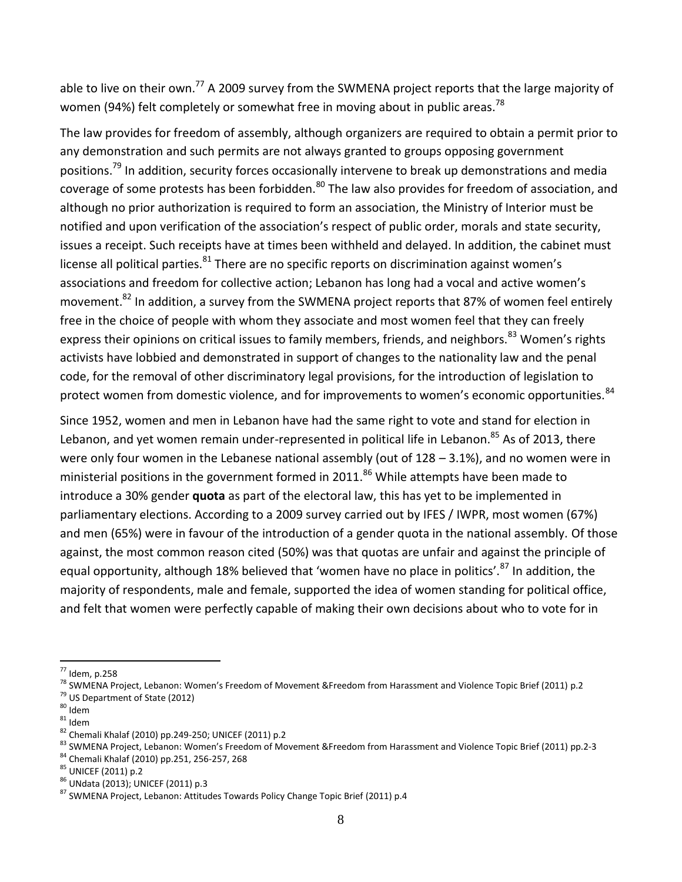able to live on their own.<sup>77</sup> A 2009 survey from the SWMENA project reports that the large majority of women (94%) felt completely or somewhat free in moving about in public areas.<sup>78</sup>

The law provides for freedom of assembly, although organizers are required to obtain a permit prior to any demonstration and such permits are not always granted to groups opposing government positions.<sup>79</sup> In addition, security forces occasionally intervene to break up demonstrations and media coverage of some protests has been forbidden.<sup>80</sup> The law also provides for freedom of association, and although no prior authorization is required to form an association, the Ministry of Interior must be notified and upon verification of the association's respect of public order, morals and state security, issues a receipt. Such receipts have at times been withheld and delayed. In addition, the cabinet must license all political parties. $^{81}$  There are no specific reports on discrimination against women's associations and freedom for collective action; Lebanon has long had a vocal and active women's movement.<sup>82</sup> In addition, a survey from the SWMENA project reports that 87% of women feel entirely free in the choice of people with whom they associate and most women feel that they can freely express their opinions on critical issues to family members, friends, and neighbors.<sup>83</sup> Women's rights activists have lobbied and demonstrated in support of changes to the nationality law and the penal code, for the removal of other discriminatory legal provisions, for the introduction of legislation to protect women from domestic violence, and for improvements to women's economic opportunities.<sup>84</sup>

Since 1952, women and men in Lebanon have had the same right to vote and stand for election in Lebanon, and yet women remain under-represented in political life in Lebanon.<sup>85</sup> As of 2013, there were only four women in the Lebanese national assembly (out of 128 – 3.1%), and no women were in ministerial positions in the government formed in  $2011$ .<sup>86</sup> While attempts have been made to introduce a 30% gender **quota** as part of the electoral law, this has yet to be implemented in parliamentary elections. According to a 2009 survey carried out by IFES / IWPR, most women (67%) and men (65%) were in favour of the introduction of a gender quota in the national assembly. Of those against, the most common reason cited (50%) was that quotas are unfair and against the principle of equal opportunity, although 18% believed that 'women have no place in politics'.<sup>87</sup> In addition, the majority of respondents, male and female, supported the idea of women standing for political office, and felt that women were perfectly capable of making their own decisions about who to vote for in

 $\overline{a}$  $^{77}$  Idem, p.258

<sup>78</sup> SWMENA Project, Lebanon: Women's Freedom of Movement &Freedom from Harassment and Violence Topic Brief (2011) p.2 <sup>79</sup> US Department of State (2012)

 $80$  Idem

 $^{\rm 81}$ ldem

<sup>82</sup> Chemali Khalaf (2010) pp.249-250; UNICEF (2011) p.2

<sup>83</sup> SWMENA Project, Lebanon: Women's Freedom of Movement &Freedom from Harassment and Violence Topic Brief (2011) pp.2-3

<sup>84</sup> Chemali Khalaf (2010) pp.251, 256-257, 268

<sup>85</sup> UNICEF (2011) p.2

<sup>86</sup> UNdata (2013); UNICEF (2011) p.3

<sup>87</sup> SWMENA Project, Lebanon: Attitudes Towards Policy Change Topic Brief (2011) p.4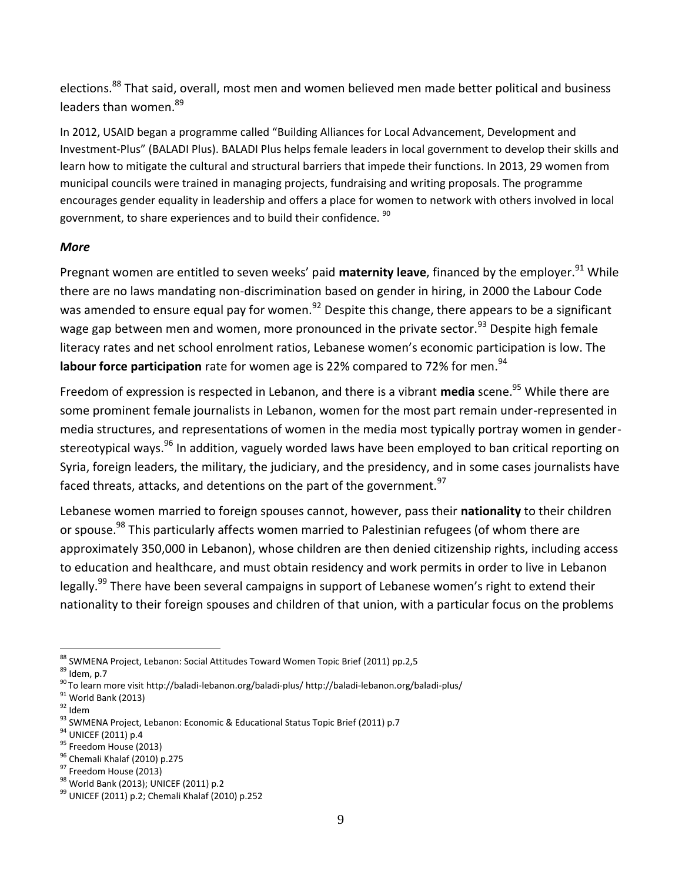elections.<sup>88</sup> That said, overall, most men and women believed men made better political and business leaders than women.<sup>89</sup>

In 2012, USAID began a programme called "Building Alliances for Local Advancement, Development and Investment-Plus" (BALADI Plus). BALADI Plus helps female leaders in local government to develop their skills and learn how to mitigate the cultural and structural barriers that impede their functions. In 2013, 29 women from municipal councils were trained in managing projects, fundraising and writing proposals. The programme encourages gender equality in leadership and offers a place for women to network with others involved in local government, to share experiences and to build their confidence. <sup>90</sup>

#### *More*

Pregnant women are entitled to seven weeks' paid **maternity leave**, financed by the employer.<sup>91</sup> While there are no laws mandating non-discrimination based on gender in hiring, in 2000 the Labour Code was amended to ensure equal pay for women.<sup>92</sup> Despite this change, there appears to be a significant wage gap between men and women, more pronounced in the private sector.<sup>93</sup> Despite high female literacy rates and net school enrolment ratios, Lebanese women's economic participation is low. The **labour force participation** rate for women age is 22% compared to 72% for men.<sup>94</sup>

Freedom of expression is respected in Lebanon, and there is a vibrant **media** scene.<sup>95</sup> While there are some prominent female journalists in Lebanon, women for the most part remain under-represented in media structures, and representations of women in the media most typically portray women in genderstereotypical ways.<sup>96</sup> In addition, vaguely worded laws have been employed to ban critical reporting on Syria, foreign leaders, the military, the judiciary, and the presidency, and in some cases journalists have faced threats, attacks, and detentions on the part of the government.<sup>97</sup>

Lebanese women married to foreign spouses cannot, however, pass their **nationality** to their children or spouse.<sup>98</sup> This particularly affects women married to Palestinian refugees (of whom there are approximately 350,000 in Lebanon), whose children are then denied citizenship rights, including access to education and healthcare, and must obtain residency and work permits in order to live in Lebanon legally.<sup>99</sup> There have been several campaigns in support of Lebanese women's right to extend their nationality to their foreign spouses and children of that union, with a particular focus on the problems

 $92$  Idem

 $\overline{a}$ 88 SWMENA Project, Lebanon: Social Attitudes Toward Women Topic Brief (2011) pp.2,5

 $89$  Idem, p.7

<sup>90</sup> To learn more visit http://baladi-lebanon.org/baladi-plus/ http://baladi-lebanon.org/baladi-plus/

 $91$  World Bank (2013)

<sup>93</sup> SWMENA Project, Lebanon: Economic & Educational Status Topic Brief (2011) p.7

<sup>94</sup> UNICEF (2011) p.4

<sup>95</sup> Freedom House (2013)

<sup>96</sup> Chemali Khalaf (2010) p.275

<sup>&</sup>lt;sup>97</sup> Freedom House (2013)

<sup>98</sup> World Bank (2013); UNICEF (2011) p.2

<sup>99</sup> UNICEF (2011) p.2; Chemali Khalaf (2010) p.252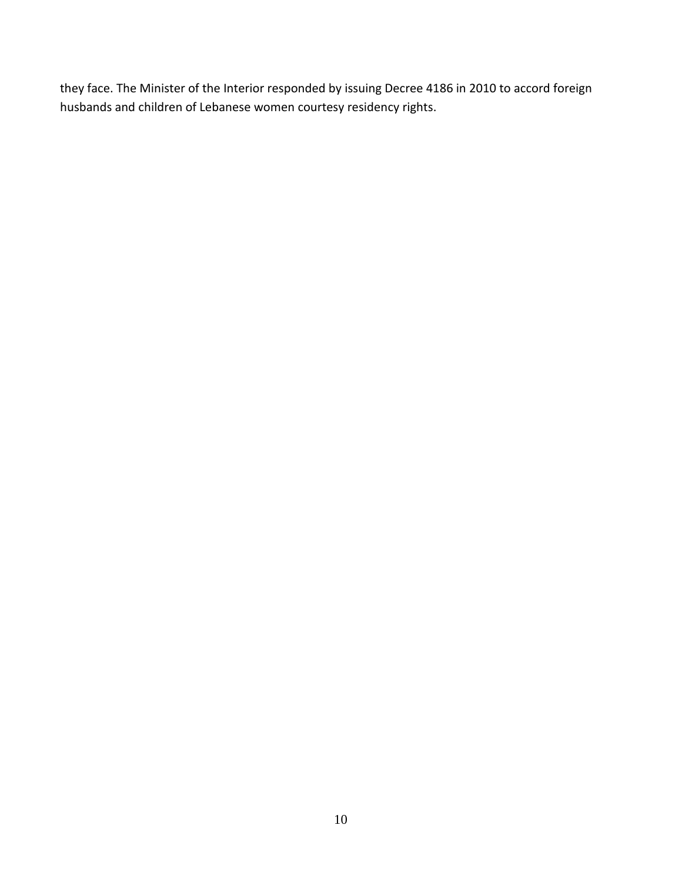they face. The Minister of the Interior responded by issuing Decree 4186 in 2010 to accord foreign husbands and children of Lebanese women courtesy residency rights.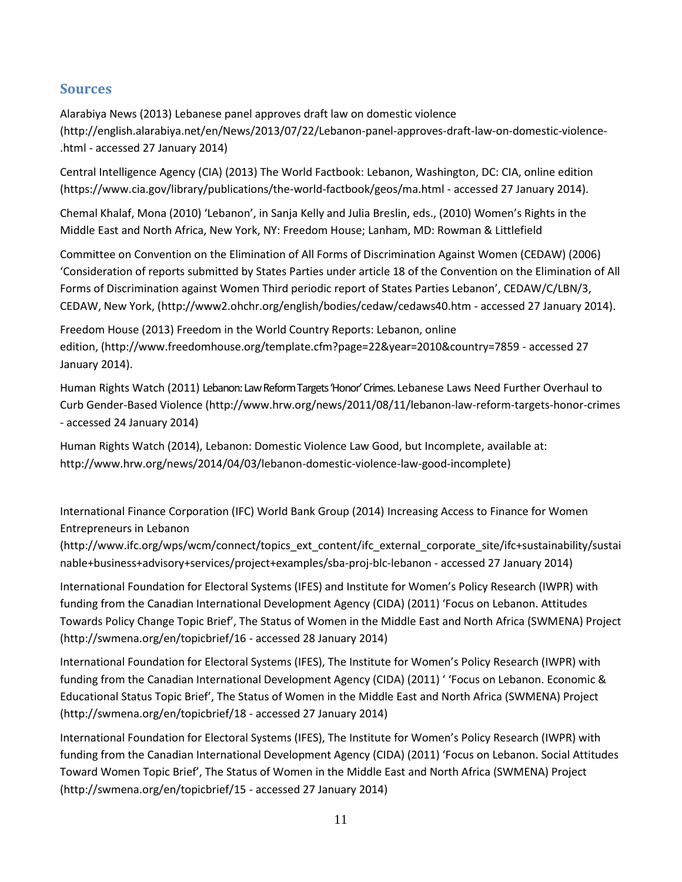### **Sources**

Alarabiya News (2013) Lebanese panel approves draft law on domestic violence [\(http://english.alarabiya.net/en/News/2013/07/22/Lebanon-panel-approves-draft-law-on-domestic-violence-](http://english.alarabiya.net/en/News/2013/07/22/Lebanon-panel-approves-draft-law-on-domestic-violence-.html) [.html](http://english.alarabiya.net/en/News/2013/07/22/Lebanon-panel-approves-draft-law-on-domestic-violence-.html) - accessed 27 January 2014)

Central Intelligence Agency (CIA) (2013) The World Factbook: Lebanon, Washington, DC: CIA, online edition [\(https://www.cia.gov/library/publications/the-world-factbook/geos/ma.html](https://www.cia.gov/library/publications/the-world-factbook/geos/ma.html) - accessed 27 January 2014).

Chemal Khalaf, Mona (2010) 'Lebanon', in Sanja Kelly and Julia Breslin, eds., (2010) Women's Rights in the Middle East and North Africa, New York, NY: Freedom House; Lanham, MD: Rowman & Littlefield

Committee on Convention on the Elimination of All Forms of Discrimination Against Women (CEDAW) (2006) 'Consideration of reports submitted by States Parties under article 18 of the Convention on the Elimination of All Forms of Discrimination against Women Third periodic report of States Parties Lebanon', CEDAW/C/LBN/3, CEDAW, New York, [\(http://www2.ohchr.org/english/bodies/cedaw/cedaws40.htm](http://www2.ohchr.org/english/bodies/cedaw/cedaws40.htm) - accessed 27 January 2014).

Freedom House (2013) Freedom in the World Country Reports: Lebanon, online edition, [\(http://www.freedomhouse.org/template.cfm?page=22&year=2010&country=7859](http://www.freedomhouse.org/template.cfm?page=22&year=2010&country=7859) - accessed 27 January 2014).

Human Rights Watch (2011) Lebanon: Law Reform Targets 'Honor' Crimes. Lebanese Laws Need Further Overhaul to Curb Gender-Based Violence [\(http://www.hrw.org/news/2011/08/11/lebanon-law-reform-targets-honor-crimes](http://www.hrw.org/news/2011/08/11/lebanon-law-reform-targets-honor-crimes) - accessed 24 January 2014)

Human Rights Watch (2014)[, Lebanon: Domestic Violence Law Good, but Incomplete,](http://www.hrw.org/news/2014/04/03/lebanon-domestic-violence-law-good-incomplete) available at: [http://www.hrw.org/news/2014/04/03/lebanon-domestic-violence-law-good-incomplete\)](http://www.hrw.org/news/2014/04/03/lebanon-domestic-violence-law-good-incomplete)

International Finance Corporation (IFC) World Bank Group (2014) Increasing Access to Finance for Women Entrepreneurs in Lebanon

[\(http://www.ifc.org/wps/wcm/connect/topics\\_ext\\_content/ifc\\_external\\_corporate\\_site/ifc+sustainability/sustai](http://www.ifc.org/wps/wcm/connect/topics_ext_content/ifc_external_corporate_site/ifc+sustainability/sustainable+business+advisory+services/project+examples/sba-proj-blc-lebanon) [nable+business+advisory+services/project+examples/sba-proj-blc-lebanon](http://www.ifc.org/wps/wcm/connect/topics_ext_content/ifc_external_corporate_site/ifc+sustainability/sustainable+business+advisory+services/project+examples/sba-proj-blc-lebanon) - accessed 27 January 2014)

International Foundation for Electoral Systems (IFES) and Institute for Women's Policy Research (IWPR) with funding from the Canadian International Development Agency (CIDA) (2011) 'Focus on Lebanon. Attitudes Towards Policy Change Topic Brief', The Status of Women in the Middle East and North Africa (SWMENA) Project [\(http://swmena.org/en/topicbrief/16](http://swmena.org/en/topicbrief/16) - accessed 28 January 2014)

International Foundation for Electoral Systems (IFES), The Institute for Women's Policy Research (IWPR) with funding from the Canadian International Development Agency (CIDA) (2011) ' 'Focus on Lebanon. Economic & Educational Status Topic Brief', The Status of Women in the Middle East and North Africa (SWMENA) Project [\(http://swmena.org/en/topicbrief/18](http://swmena.org/en/topicbrief/18) - accessed 27 January 2014)

International Foundation for Electoral Systems (IFES), The Institute for Women's Policy Research (IWPR) with funding from the Canadian International Development Agency (CIDA) (2011) 'Focus on Lebanon. Social Attitudes Toward Women Topic Brief', The Status of Women in the Middle East and North Africa (SWMENA) Project [\(http://swmena.org/en/topicbrief/15](http://swmena.org/en/topicbrief/15) - accessed 27 January 2014)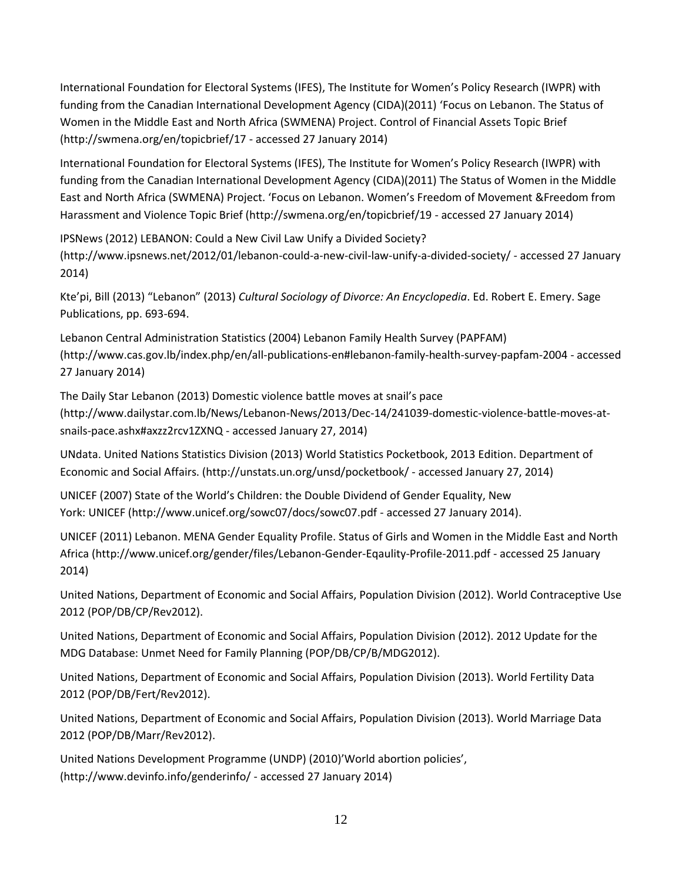International Foundation for Electoral Systems (IFES), The Institute for Women's Policy Research (IWPR) with funding from the Canadian International Development Agency (CIDA)(2011) 'Focus on Lebanon. The Status of Women in the Middle East and North Africa (SWMENA) Project. Control of Financial Assets Topic Brief [\(http://swmena.org/en/topicbrief/17](http://swmena.org/en/topicbrief/17) - accessed 27 January 2014)

International Foundation for Electoral Systems (IFES), The Institute for Women's Policy Research (IWPR) with funding from the Canadian International Development Agency (CIDA)(2011) The Status of Women in the Middle East and North Africa (SWMENA) Project. 'Focus on Lebanon. Women's Freedom of Movement &Freedom from Harassment and Violence Topic Brief [\(http://swmena.org/en/topicbrief/19](http://swmena.org/en/topicbrief/19) - accessed 27 January 2014)

IPSNews (2012) LEBANON: Could a New Civil Law Unify a Divided Society? [\(http://www.ipsnews.net/2012/01/lebanon-could-a-new-civil-law-unify-a-divided-society/](http://www.ipsnews.net/2012/01/lebanon-could-a-new-civil-law-unify-a-divided-society/) - accessed 27 January 2014)

Kte'pi, Bill (2013) "Lebanon" (2013) *Cultural Sociology of Divorce: An Encyclopedia*. Ed. Robert E. Emery. Sage Publications, pp. 693-694.

Lebanon Central Administration Statistics (2004) Lebanon Family Health Survey (PAPFAM) [\(http://www.cas.gov.lb/index.php/en/all-publications-en#lebanon-family-health-survey-papfam-2004](http://www.cas.gov.lb/index.php/en/all-publications-en#lebanon-family-health-survey-papfam-2004) - accessed 27 January 2014)

The Daily Star Lebanon (2013) Domestic violence battle moves at snail's pace [\(http://www.dailystar.com.lb/News/Lebanon-News/2013/Dec-14/241039-domestic-violence-battle-moves-at](http://www.dailystar.com.lb/News/Lebanon-News/2013/Dec-14/241039-domestic-violence-battle-moves-at-snails-pace.ashx#axzz2rcv1ZXNQ)[snails-pace.ashx#axzz2rcv1ZXNQ](http://www.dailystar.com.lb/News/Lebanon-News/2013/Dec-14/241039-domestic-violence-battle-moves-at-snails-pace.ashx#axzz2rcv1ZXNQ) - accessed January 27, 2014)

UNdata. United Nations Statistics Division (2013) World Statistics Pocketbook, 2013 Edition. Department of Economic and Social Affairs. [\(http://unstats.un.org/unsd/pocketbook/](http://unstats.un.org/unsd/pocketbook/) - accessed January 27, 2014)

UNICEF (2007) State of the World's Children: the Double Dividend of Gender Equality, New York: UNICEF [\(http://www.unicef.org/sowc07/docs/sowc07.pdf](http://www.unicef.org/sowc07/docs/sowc07.pdf) - accessed 27 January 2014).

UNICEF (2011) Lebanon. MENA Gender Equality Profile. Status of Girls and Women in the Middle East and North Africa [\(http://www.unicef.org/gender/files/Lebanon-Gender-Eqaulity-Profile-2011.pdf](http://www.unicef.org/gender/files/Lebanon-Gender-Eqaulity-Profile-2011.pdf) - accessed 25 January 2014)

United Nations, Department of Economic and Social Affairs, Population Division (2012). World Contraceptive Use 2012 (POP/DB/CP/Rev2012).

United Nations, Department of Economic and Social Affairs, Population Division (2012). 2012 Update for the MDG Database: Unmet Need for Family Planning (POP/DB/CP/B/MDG2012).

United Nations, Department of Economic and Social Affairs, Population Division (2013). World Fertility Data 2012 (POP/DB/Fert/Rev2012).

United Nations, Department of Economic and Social Affairs, Population Division (2013). World Marriage Data 2012 (POP/DB/Marr/Rev2012).

United Nations Development Programme (UNDP) (2010)'World abortion policies', [\(http://www.devinfo.info/genderinfo/](http://www.devinfo.info/genderinfo/) - accessed 27 January 2014)